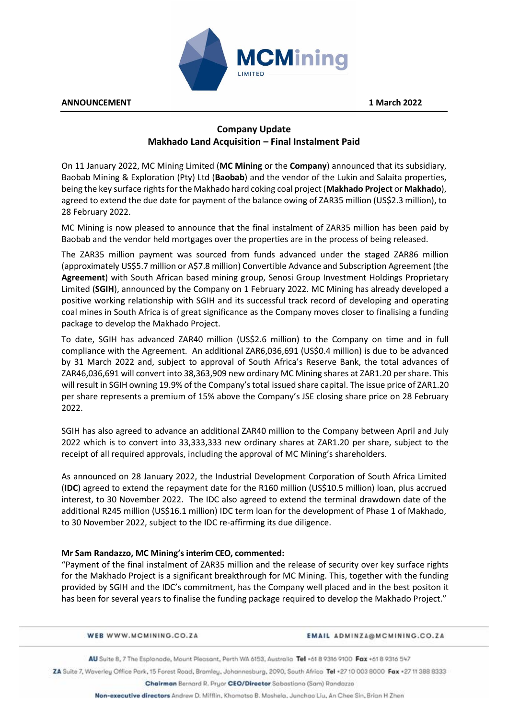

**ANNOUNCEMENT 1 March 2022** 

# **Company Update Makhado Land Acquisition – Final Instalment Paid**

On 11 January 2022, MC Mining Limited (**MC Mining** or the **Company**) announced that its subsidiary, Baobab Mining & Exploration (Pty) Ltd (**Baobab**) and the vendor of the Lukin and Salaita properties, being the key surface rights for the Makhado hard coking coal project (**Makhado Project** or **Makhado**), agreed to extend the due date for payment of the balance owing of ZAR35 million (US\$2.3 million), to 28 February 2022.

MC Mining is now pleased to announce that the final instalment of ZAR35 million has been paid by Baobab and the vendor held mortgages over the properties are in the process of being released.

The ZAR35 million payment was sourced from funds advanced under the staged ZAR86 million (approximately US\$5.7 million or A\$7.8 million) Convertible Advance and Subscription Agreement (the **Agreement**) with South African based mining group, Senosi Group Investment Holdings Proprietary Limited (**SGIH**), announced by the Company on 1 February 2022. MC Mining has already developed a positive working relationship with SGIH and its successful track record of developing and operating coal mines in South Africa is of great significance as the Company moves closer to finalising a funding package to develop the Makhado Project.

To date, SGIH has advanced ZAR40 million (US\$2.6 million) to the Company on time and in full compliance with the Agreement. An additional ZAR6,036,691 (US\$0.4 million) is due to be advanced by 31 March 2022 and, subject to approval of South Africa's Reserve Bank, the total advances of ZAR46,036,691 will convert into 38,363,909 new ordinary MC Mining shares at ZAR1.20 per share. This will result in SGIH owning 19.9% of the Company's total issued share capital. The issue price of ZAR1.20 per share represents a premium of 15% above the Company's JSE closing share price on 28 February 2022.

SGIH has also agreed to advance an additional ZAR40 million to the Company between April and July 2022 which is to convert into 33,333,333 new ordinary shares at ZAR1.20 per share, subject to the receipt of all required approvals, including the approval of MC Mining's shareholders.

As announced on 28 January 2022, the Industrial Development Corporation of South Africa Limited (**IDC**) agreed to extend the repayment date for the R160 million (US\$10.5 million) loan, plus accrued interest, to 30 November 2022. The IDC also agreed to extend the terminal drawdown date of the additional R245 million (US\$16.1 million) IDC term loan for the development of Phase 1 of Makhado, to 30 November 2022, subject to the IDC re-affirming its due diligence.

# **Mr Sam Randazzo, MC Mining's interim CEO, commented:**

"Payment of the final instalment of ZAR35 million and the release of security over key surface rights for the Makhado Project is a significant breakthrough for MC Mining. This, together with the funding provided by SGIH and the IDC's commitment, has the Company well placed and in the best positon it has been for several years to finalise the funding package required to develop the Makhado Project."

WEB WWW.MCMINING.CO.ZA

**EMAIL ADMINZA@MCMINING.CO.ZA** 

AU Suite 8, 7 The Esplanade, Mount Pleasant, Perth WA 6153, Australia Tel +61 8 9316 9100 Fax +61 8 9316 547

ZA Suite 7, Waverley Office Park, 15 Forest Road, Bramley, Johannesburg, 2090, South Africa Tel +27 10 003 8000 Fax +27 11 388 8333

Chairman Bernard R. Pryor CEO/Director Sabastiano (Sam) Randazzo

Non-executive directors Andrew D. Mifflin, Khomotso B. Moshela, Junchao Liu, An Chee Sin, Brian H Zhen